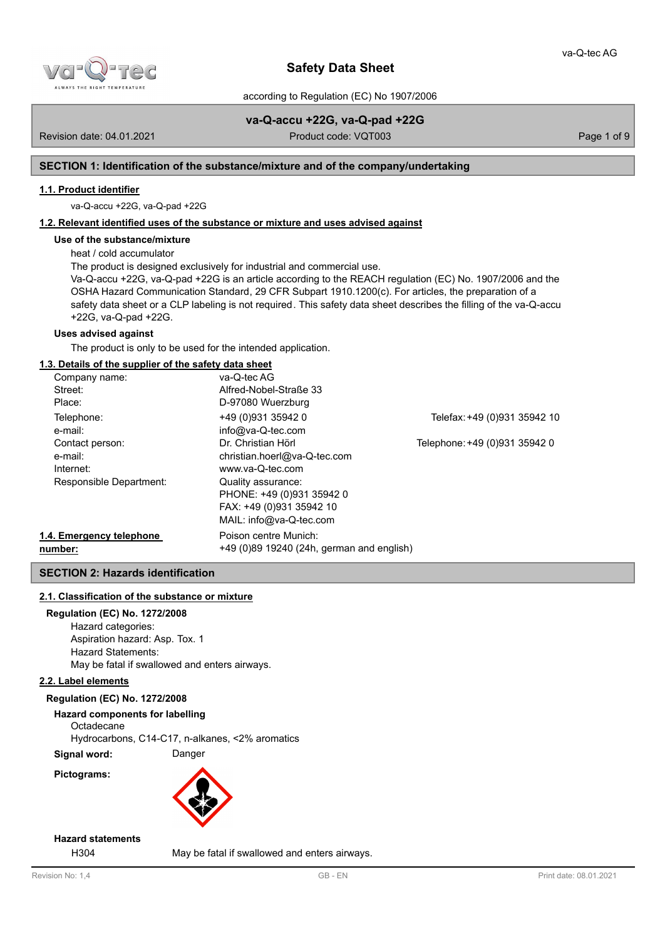

according to Regulation (EC) No 1907/2006

# **va-Q-accu +22G, va-Q-pad +22G**

Revision date: 04.01.2021 **Product code: VQT003** Page 1 of 9

# **SECTION 1: Identification of the substance/mixture and of the company/undertaking**

# **1.1. Product identifier**

va-Q-accu +22G, va-Q-pad +22G

# **1.2. Relevant identified uses of the substance or mixture and uses advised against**

# **Use of the substance/mixture**

heat / cold accumulator

The product is designed exclusively for industrial and commercial use.

Va-Q-accu +22G, va-Q-pad +22G is an article according to the REACH regulation (EC) No. 1907/2006 and the OSHA Hazard Communication Standard, 29 CFR Subpart 1910.1200(c). For articles, the preparation of a safety data sheet or a CLP labeling is not required. This safety data sheet describes the filling of the va-Q-accu +22G, va-Q-pad +22G.

# **Uses advised against**

The product is only to be used for the intended application.

# **1.3. Details of the supplier of the safety data sheet**

| Company name:            | va-Q-tec AG                               |                               |
|--------------------------|-------------------------------------------|-------------------------------|
| Street:                  | Alfred-Nobel-Straße 33                    |                               |
| Place:                   | D-97080 Wuerzburg                         |                               |
| Telephone:               | +49 (0)931 35942 0                        | Telefax: +49 (0)931 35942 10  |
| e-mail:                  | info@va-Q-tec.com                         |                               |
| Contact person:          | Dr. Christian Hörl                        | Telephone: +49 (0)931 35942 0 |
| e-mail:                  | christian.hoerl@va-Q-tec.com              |                               |
| Internet:                | www.va-Q-tec.com                          |                               |
| Responsible Department:  | Quality assurance:                        |                               |
|                          | PHONE: +49 (0)931 35942 0                 |                               |
|                          | FAX: +49 (0)931 35942 10                  |                               |
|                          | MAIL: info@va-Q-tec.com                   |                               |
| 1.4. Emergency telephone | Poison centre Munich:                     |                               |
| number:                  | +49 (0)89 19240 (24h, german and english) |                               |

# **SECTION 2: Hazards identification**

# **2.1. Classification of the substance or mixture**

# **Regulation (EC) No. 1272/2008**

Hazard categories: Aspiration hazard: Asp. Tox. 1 Hazard Statements: May be fatal if swallowed and enters airways.

# **2.2. Label elements**

# **Regulation (EC) No. 1272/2008**

**Hazard components for labelling Octadecane** 

Hydrocarbons, C14-C17, n-alkanes, <2% aromatics

**Signal word:** Danger

**Pictograms:**



# **Hazard statements**

H304 May be fatal if swallowed and enters airways.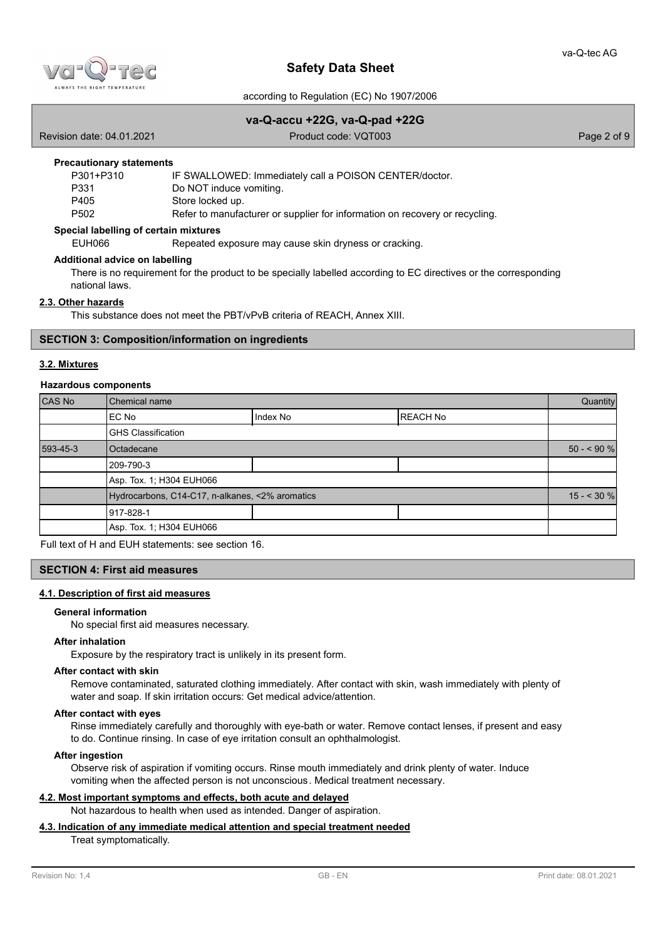

according to Regulation (EC) No 1907/2006

### **va-Q-accu +22G, va-Q-pad +22G**

Revision date: 04.01.2021 Product code: VQT003 Page 2 of 9

#### **Precautionary statements**

| P301+P310        | IF SWALLOWED: Immediately call a POISON CENTER/doctor.                      |
|------------------|-----------------------------------------------------------------------------|
| P331             | Do NOT induce vomiting.                                                     |
| P405             | Store locked up.                                                            |
| P <sub>502</sub> | Refer to manufacturer or supplier for information on recovery or recycling. |

### **Special labelling of certain mixtures**

EUH066 Repeated exposure may cause skin dryness or cracking.

### **Additional advice on labelling**

There is no requirement for the product to be specially labelled according to EC directives or the corresponding national laws.

# **2.3. Other hazards**

This substance does not meet the PBT/vPvB criteria of REACH, Annex XIII.

### **SECTION 3: Composition/information on ingredients**

### **3.2. Mixtures**

### **Hazardous components**

| CAS No   | Chemical name                                   |          |                 | Quantity    |
|----------|-------------------------------------------------|----------|-----------------|-------------|
|          | EC No                                           | Index No | <b>REACH No</b> |             |
|          | <b>GHS Classification</b>                       |          |                 |             |
| 593-45-3 | Octadecane                                      |          |                 | $50 - 90 %$ |
|          | 209-790-3                                       |          |                 |             |
|          | Asp. Tox. 1; H304 EUH066                        |          |                 |             |
|          | Hydrocarbons, C14-C17, n-alkanes, <2% aromatics |          |                 | $15 - 30 %$ |
|          | 1917-828-1                                      |          |                 |             |
|          | Asp. Tox. 1; H304 EUH066                        |          |                 |             |

Full text of H and EUH statements: see section 16.

# **SECTION 4: First aid measures**

# **4.1. Description of first aid measures**

# **General information**

No special first aid measures necessary.

#### **After inhalation**

Exposure by the respiratory tract is unlikely in its present form.

### **After contact with skin**

Remove contaminated, saturated clothing immediately. After contact with skin, wash immediately with plenty of water and soap. If skin irritation occurs: Get medical advice/attention.

### **After contact with eyes**

Rinse immediately carefully and thoroughly with eye-bath or water. Remove contact lenses, if present and easy to do. Continue rinsing. In case of eye irritation consult an ophthalmologist.

### **After ingestion**

Observe risk of aspiration if vomiting occurs. Rinse mouth immediately and drink plenty of water. Induce vomiting when the affected person is not unconscious. Medical treatment necessary.

### **4.2. Most important symptoms and effects, both acute and delayed**

Not hazardous to health when used as intended. Danger of aspiration.

# **4.3. Indication of any immediate medical attention and special treatment needed**

Treat symptomatically.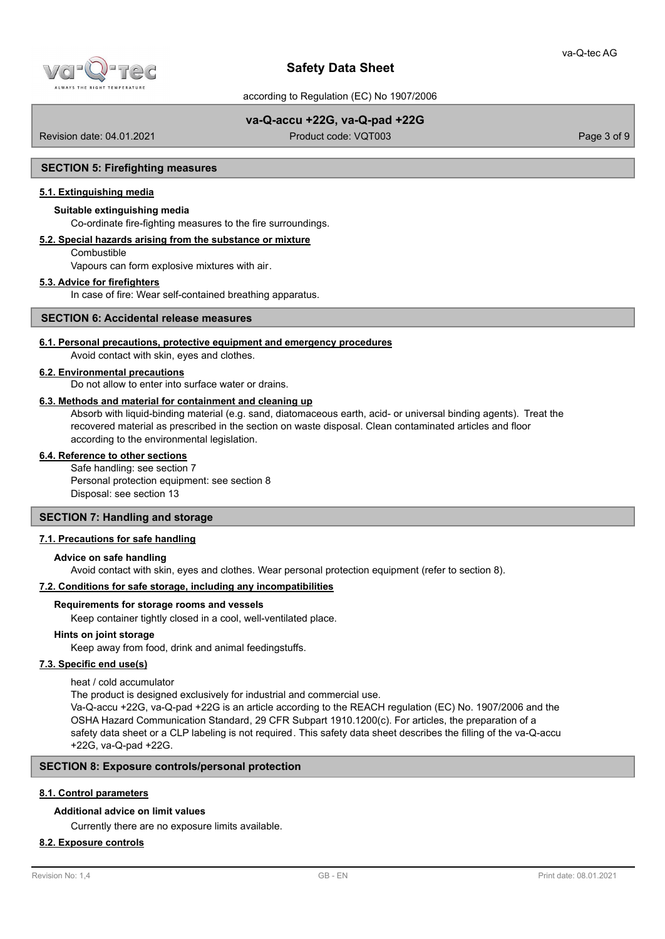

according to Regulation (EC) No 1907/2006

# **va-Q-accu +22G, va-Q-pad +22G**

Revision date: 04.01.2021 Product code: VQT003 Page 3 of 9

### **SECTION 5: Firefighting measures**

# **5.1. Extinguishing media**

# **Suitable extinguishing media**

Co-ordinate fire-fighting measures to the fire surroundings.

# **5.2. Special hazards arising from the substance or mixture**

**Combustible** 

Vapours can form explosive mixtures with air.

### **5.3. Advice for firefighters**

In case of fire: Wear self-contained breathing apparatus.

### **SECTION 6: Accidental release measures**

### **6.1. Personal precautions, protective equipment and emergency procedures**

Avoid contact with skin, eyes and clothes.

### **6.2. Environmental precautions**

Do not allow to enter into surface water or drains.

#### **6.3. Methods and material for containment and cleaning up**

Absorb with liquid-binding material (e.g. sand, diatomaceous earth, acid- or universal binding agents). Treat the recovered material as prescribed in the section on waste disposal. Clean contaminated articles and floor according to the environmental legislation.

### **6.4. Reference to other sections**

Safe handling: see section 7 Personal protection equipment: see section 8 Disposal: see section 13

### **SECTION 7: Handling and storage**

### **7.1. Precautions for safe handling**

### **Advice on safe handling**

Avoid contact with skin, eyes and clothes. Wear personal protection equipment (refer to section 8).

### **7.2. Conditions for safe storage, including any incompatibilities**

### **Requirements for storage rooms and vessels**

Keep container tightly closed in a cool, well-ventilated place.

# **Hints on joint storage**

Keep away from food, drink and animal feedingstuffs.

# **7.3. Specific end use(s)**

heat / cold accumulator

The product is designed exclusively for industrial and commercial use.

Va-Q-accu +22G, va-Q-pad +22G is an article according to the REACH regulation (EC) No. 1907/2006 and the OSHA Hazard Communication Standard, 29 CFR Subpart 1910.1200(c). For articles, the preparation of a safety data sheet or a CLP labeling is not required. This safety data sheet describes the filling of the va-Q-accu +22G, va-Q-pad +22G.

# **SECTION 8: Exposure controls/personal protection**

# **8.1. Control parameters**

# **Additional advice on limit values**

Currently there are no exposure limits available.

### **8.2. Exposure controls**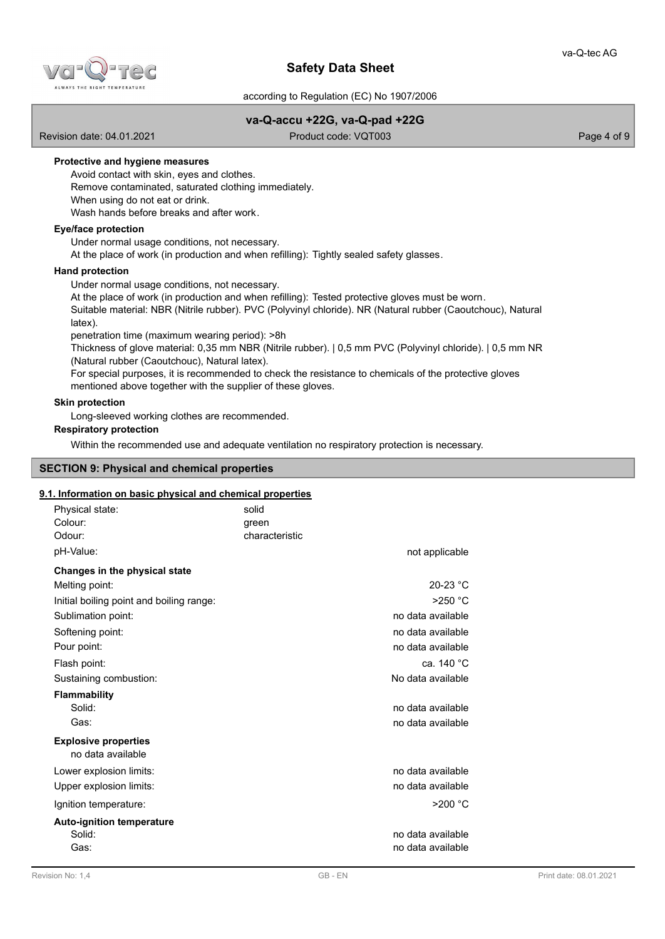

according to Regulation (EC) No 1907/2006

# **va-Q-accu +22G, va-Q-pad +22G**

Revision date: 04.01.2021 **Product code: VQT003** Page 4 of 9

# **Protective and hygiene measures**

- Avoid contact with skin, eyes and clothes.
- Remove contaminated, saturated clothing immediately.
- When using do not eat or drink.

Wash hands before breaks and after work.

# **Eye/face protection**

Under normal usage conditions, not necessary.

At the place of work (in production and when refilling): Tightly sealed safety glasses.

### **Hand protection**

Under normal usage conditions, not necessary.

At the place of work (in production and when refilling): Tested protective gloves must be worn.

Suitable material: NBR (Nitrile rubber). PVC (Polyvinyl chloride). NR (Natural rubber (Caoutchouc), Natural latex).

penetration time (maximum wearing period): >8h

Thickness of glove material: 0,35 mm NBR (Nitrile rubber). | 0,5 mm PVC (Polyvinyl chloride). | 0,5 mm NR (Natural rubber (Caoutchouc), Natural latex).

For special purposes, it is recommended to check the resistance to chemicals of the protective gloves mentioned above together with the supplier of these gloves.

# **Skin protection**

Long-sleeved working clothes are recommended.

# **Respiratory protection**

Within the recommended use and adequate ventilation no respiratory protection is necessary.

# **SECTION 9: Physical and chemical properties**

### **9.1. Information on basic physical and chemical properties**

| solid<br>green<br>characteristic | not applicable                         |
|----------------------------------|----------------------------------------|
|                                  |                                        |
|                                  | $20-23 °C$                             |
|                                  | $>250$ °C                              |
|                                  | no data available                      |
|                                  | no data available                      |
|                                  | no data available                      |
|                                  | ca. 140 °C                             |
|                                  | No data available                      |
|                                  |                                        |
|                                  | no data available                      |
|                                  | no data available                      |
|                                  |                                        |
|                                  | no data available                      |
|                                  | no data available                      |
|                                  | $>200$ °C                              |
|                                  | no data available<br>no data available |
|                                  |                                        |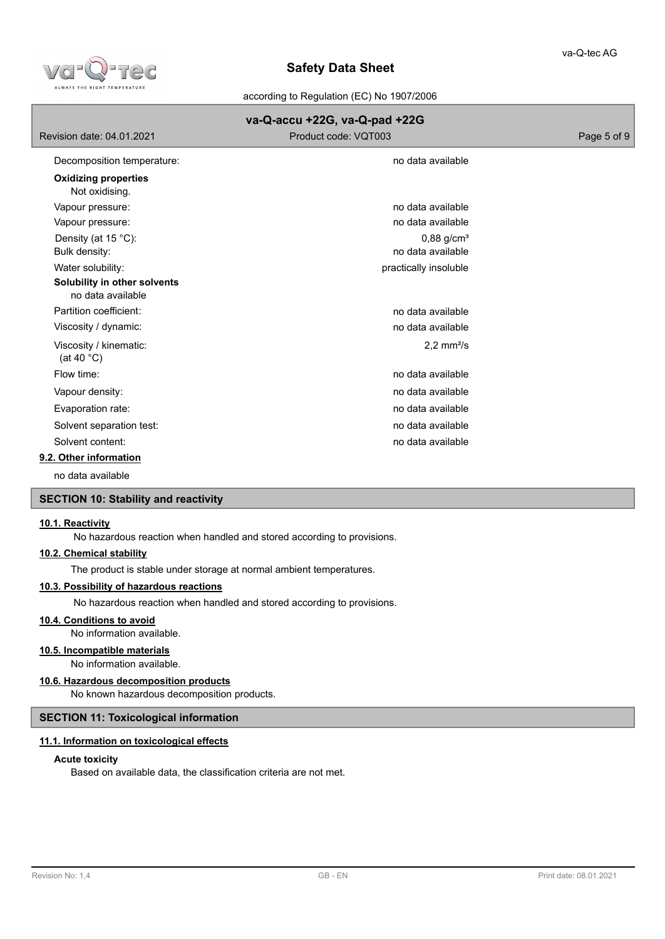

according to Regulation (EC) No 1907/2006

|                                                   | va-Q-accu +22G, va-Q-pad +22G |             |
|---------------------------------------------------|-------------------------------|-------------|
| Revision date: 04.01.2021                         | Product code: VQT003          | Page 5 of 9 |
| Decomposition temperature:                        | no data available             |             |
| <b>Oxidizing properties</b><br>Not oxidising.     |                               |             |
| Vapour pressure:                                  | no data available             |             |
| Vapour pressure:                                  | no data available             |             |
| Density (at 15 °C):                               | $0,88$ g/cm <sup>3</sup>      |             |
| Bulk density:                                     | no data available             |             |
| Water solubility:                                 | practically insoluble         |             |
| Solubility in other solvents<br>no data available |                               |             |
| Partition coefficient:                            | no data available             |             |
| Viscosity / dynamic:                              | no data available             |             |
| Viscosity / kinematic:<br>(at 40 $^{\circ}$ C)    | $2,2$ mm <sup>2</sup> /s      |             |
| Flow time:                                        | no data available             |             |
| Vapour density:                                   | no data available             |             |
| Evaporation rate:                                 | no data available             |             |
| Solvent separation test:                          | no data available             |             |
| Solvent content:                                  | no data available             |             |
| 9.2. Other information                            |                               |             |

no data available

# **SECTION 10: Stability and reactivity**

# **10.1. Reactivity**

No hazardous reaction when handled and stored according to provisions.

### **10.2. Chemical stability**

The product is stable under storage at normal ambient temperatures.

# **10.3. Possibility of hazardous reactions**

No hazardous reaction when handled and stored according to provisions.

# **10.4. Conditions to avoid**

No information available.

# **10.5. Incompatible materials**

No information available.

# **10.6. Hazardous decomposition products**

No known hazardous decomposition products.

# **SECTION 11: Toxicological information**

# **11.1. Information on toxicological effects**

### **Acute toxicity**

Based on available data, the classification criteria are not met.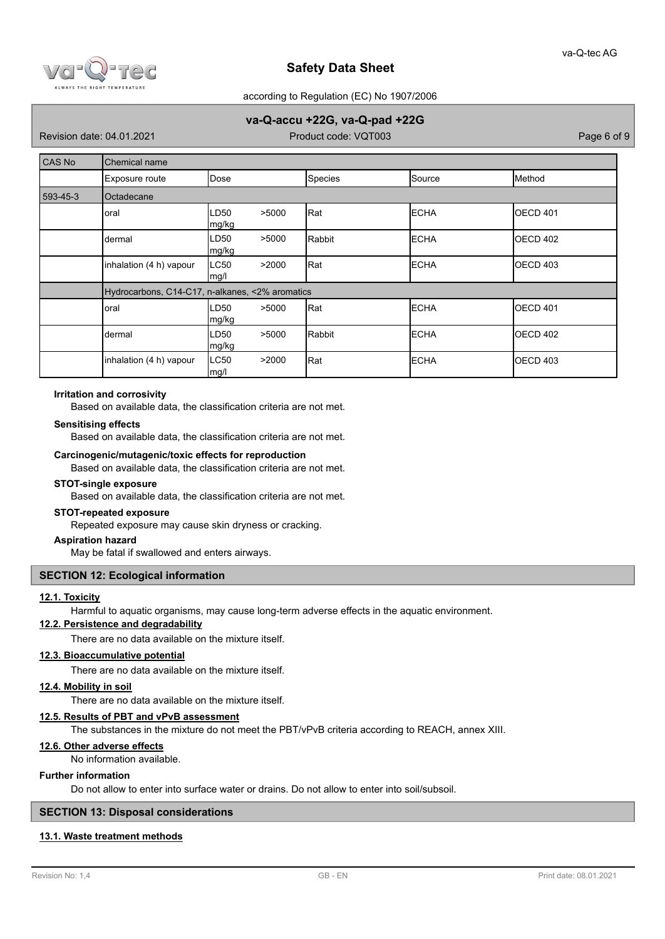

according to Regulation (EC) No 1907/2006

# **va-Q-accu +22G, va-Q-pad +22G**

Revision date: 04.01.2021 Product code: VQT003 Page 6 of 9

| CAS No   | <b>Chemical name</b>                            |                              |  |         |              |                  |  |
|----------|-------------------------------------------------|------------------------------|--|---------|--------------|------------------|--|
|          | Exposure route                                  | Dose                         |  | Species | Source       | Method           |  |
| 593-45-3 | Octadecane                                      |                              |  |         |              |                  |  |
|          | oral                                            | LD50<br>>5000<br> mg/kg      |  | Rat     | <b>ECHA</b>  | <b>IOECD 401</b> |  |
|          | dermal                                          | >5000<br>LD50<br>mg/kg       |  | Rabbit  | <b>ECHA</b>  | <b>IOECD 402</b> |  |
|          | inhalation (4 h) vapour                         | <b>LC50</b><br>>2000<br>mg/l |  | Rat     | <b>ECHA</b>  | OECD 403         |  |
|          | Hydrocarbons, C14-C17, n-alkanes, <2% aromatics |                              |  |         |              |                  |  |
|          | oral                                            | >5000<br>LD50<br> mg/kg      |  | Rat]    | <b>ECHA</b>  | <b>IOECD 401</b> |  |
|          | dermal                                          | >5000<br>LD50<br>mg/kg       |  | Rabbit  | <b>IECHA</b> | <b>IOECD 402</b> |  |
|          | inhalation (4 h) vapour                         | <b>LC50</b><br>>2000<br>mg/l |  | Rat     | <b>ECHA</b>  | OECD 403         |  |

### **Irritation and corrosivity**

Based on available data, the classification criteria are not met.

### **Sensitising effects**

Based on available data, the classification criteria are not met.

### **Carcinogenic/mutagenic/toxic effects for reproduction**

Based on available data, the classification criteria are not met.

#### **STOT-single exposure**

Based on available data, the classification criteria are not met.

### **STOT-repeated exposure**

Repeated exposure may cause skin dryness or cracking.

### **Aspiration hazard**

May be fatal if swallowed and enters airways.

### **SECTION 12: Ecological information**

### **12.1. Toxicity**

Harmful to aquatic organisms, may cause long-term adverse effects in the aquatic environment.

# **12.2. Persistence and degradability**

There are no data available on the mixture itself.

# **12.3. Bioaccumulative potential**

There are no data available on the mixture itself.

# **12.4. Mobility in soil**

There are no data available on the mixture itself.

# **12.5. Results of PBT and vPvB assessment**

The substances in the mixture do not meet the PBT/vPvB criteria according to REACH, annex XIII.

# **12.6. Other adverse effects**

No information available.

# **Further information**

Do not allow to enter into surface water or drains. Do not allow to enter into soil/subsoil.

# **SECTION 13: Disposal considerations**

# **13.1. Waste treatment methods**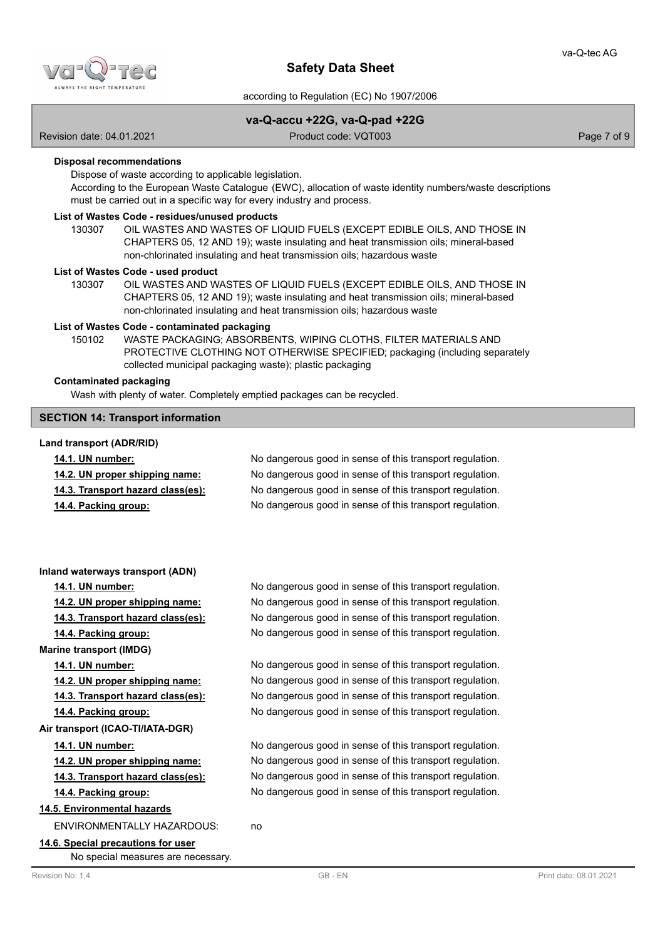

according to Regulation (EC) No 1907/2006

# **va-Q-accu +22G, va-Q-pad +22G**

Revision date: 04.01.2021 Product code: VQT003 Page 7 of 9

### **Disposal recommendations**

Dispose of waste according to applicable legislation.

According to the European Waste Catalogue (EWC), allocation of waste identity numbers/waste descriptions must be carried out in a specific way for every industry and process.

#### **List of Wastes Code - residues/unused products**

130307 OIL WASTES AND WASTES OF LIQUID FUELS (EXCEPT EDIBLE OILS, AND THOSE IN CHAPTERS 05, 12 AND 19); waste insulating and heat transmission oils; mineral-based non-chlorinated insulating and heat transmission oils; hazardous waste

#### **List of Wastes Code - used product**

OIL WASTES AND WASTES OF LIQUID FUELS (EXCEPT EDIBLE OILS, AND THOSE IN CHAPTERS 05, 12 AND 19); waste insulating and heat transmission oils; mineral-based non-chlorinated insulating and heat transmission oils; hazardous waste 130307

### **List of Wastes Code - contaminated packaging**

WASTE PACKAGING; ABSORBENTS, WIPING CLOTHS, FILTER MATERIALS AND PROTECTIVE CLOTHING NOT OTHERWISE SPECIFIED; packaging (including separately collected municipal packaging waste); plastic packaging 150102

### **Contaminated packaging**

Wash with plenty of water. Completely emptied packages can be recycled.

### **SECTION 14: Transport information**

### **Land transport (ADR/RID)**

| <b>14.1. UN number:</b>           | No dangerous good in sense of this transport regulation. |
|-----------------------------------|----------------------------------------------------------|
| 14.2. UN proper shipping name:    | No dangerous good in sense of this transport regulation. |
| 14.3. Transport hazard class(es): | No dangerous good in sense of this transport regulation. |
| 14.4. Packing group:              | No dangerous good in sense of this transport regulation. |

#### **Inland waterways transport (ADN)**

**Marine transport (IMDG)**

**Air transport (ICAO-TI/IATA-DGR)**

# **14.5. Environmental hazards**

ENVIRONMENTALLY HAZARDOUS: no

**14.6. Special precautions for user** No special measures are necessary.

**14.1. UN number:** No dangerous good in sense of this transport regulation. **14.2. UN proper shipping name:** No dangerous good in sense of this transport regulation. **14.3. Transport hazard class(es):** No dangerous good in sense of this transport regulation. **14.4. Packing group:** No dangerous good in sense of this transport regulation.

**14.1. UN number:** No dangerous good in sense of this transport regulation. **14.2. UN proper shipping name:** No dangerous good in sense of this transport regulation. **14.3. Transport hazard class(es):** No dangerous good in sense of this transport regulation. **14.4. Packing group:** No dangerous good in sense of this transport regulation.

**14.1. UN number:** No dangerous good in sense of this transport regulation. **14.2. UN proper shipping name:** No dangerous good in sense of this transport regulation. **14.3. Transport hazard class(es):** No dangerous good in sense of this transport regulation. **14.4. Packing group:** No dangerous good in sense of this transport regulation.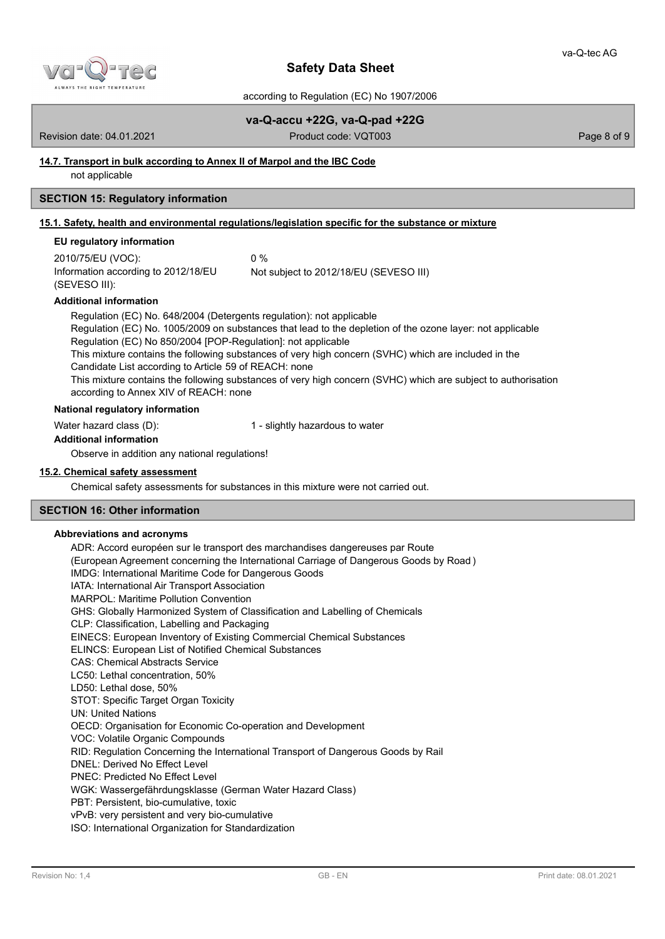

according to Regulation (EC) No 1907/2006

**va-Q-accu +22G, va-Q-pad +22G**

Revision date: 04.01.2021 Product code: VQT003 Page 8 of 9

# **14.7. Transport in bulk according to Annex II of Marpol and the IBC Code**

not applicable

# **SECTION 15: Regulatory information**

# **15.1. Safety, health and environmental regulations/legislation specific for the substance or mixture**

### **EU regulatory information**

| 2010/75/EU (VOC):                   | በ %                                    |
|-------------------------------------|----------------------------------------|
| Information according to 2012/18/EU | Not subject to 2012/18/EU (SEVESO III) |
| (SEVESO III):                       |                                        |

### **Additional information**

Regulation (EC) No. 648/2004 (Detergents regulation): not applicable Regulation (EC) No. 1005/2009 on substances that lead to the depletion of the ozone layer: not applicable Regulation (EC) No 850/2004 [POP-Regulation]: not applicable This mixture contains the following substances of very high concern (SVHC) which are included in the Candidate List according to Article 59 of REACH: none This mixture contains the following substances of very high concern (SVHC) which are subject to authorisation according to Annex XIV of REACH: none

# **National regulatory information**

Water hazard class (D): 1 - slightly hazardous to water

### **Additional information**

Observe in addition any national regulations!

### **15.2. Chemical safety assessment**

Chemical safety assessments for substances in this mixture were not carried out.

# **SECTION 16: Other information**

# **Abbreviations and acronyms**

ADR: Accord européen sur le transport des marchandises dangereuses par Route (European Agreement concerning the International Carriage of Dangerous Goods by Road ) IMDG: International Maritime Code for Dangerous Goods IATA: International Air Transport Association MARPOL: Maritime Pollution Convention GHS: Globally Harmonized System of Classification and Labelling of Chemicals CLP: Classification, Labelling and Packaging EINECS: European Inventory of Existing Commercial Chemical Substances ELINCS: European List of Notified Chemical Substances CAS: Chemical Abstracts Service LC50: Lethal concentration, 50% LD50: Lethal dose, 50% STOT: Specific Target Organ Toxicity UN: United Nations OECD: Organisation for Economic Co-operation and Development VOC: Volatile Organic Compounds RID: Regulation Concerning the International Transport of Dangerous Goods by Rail DNEL: Derived No Effect Level PNEC: Predicted No Effect Level WGK: Wassergefährdungsklasse (German Water Hazard Class) PBT: Persistent, bio-cumulative, toxic vPvB: very persistent and very bio-cumulative ISO: International Organization for Standardization